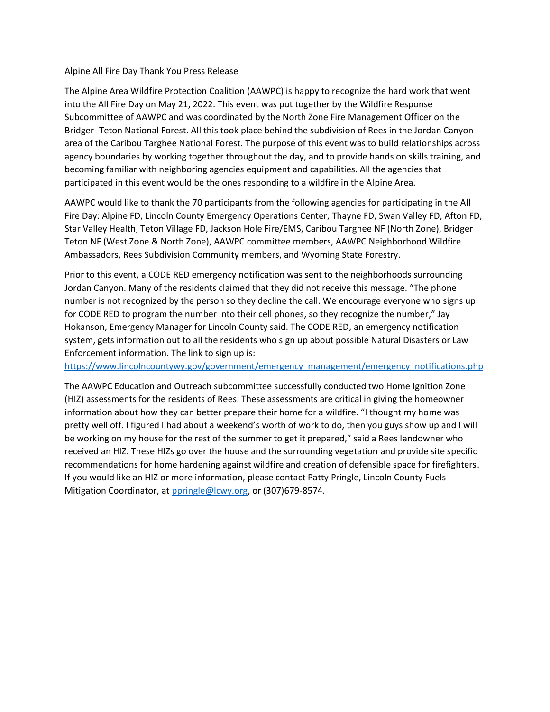## Alpine All Fire Day Thank You Press Release

The Alpine Area Wildfire Protection Coalition (AAWPC) is happy to recognize the hard work that went into the All Fire Day on May 21, 2022. This event was put together by the Wildfire Response Subcommittee of AAWPC and was coordinated by the North Zone Fire Management Officer on the Bridger- Teton National Forest. All this took place behind the subdivision of Rees in the Jordan Canyon area of the Caribou Targhee National Forest. The purpose of this event was to build relationships across agency boundaries by working together throughout the day, and to provide hands on skills training, and becoming familiar with neighboring agencies equipment and capabilities. All the agencies that participated in this event would be the ones responding to a wildfire in the Alpine Area.

AAWPC would like to thank the 70 participants from the following agencies for participating in the All Fire Day: Alpine FD, Lincoln County Emergency Operations Center, Thayne FD, Swan Valley FD, Afton FD, Star Valley Health, Teton Village FD, Jackson Hole Fire/EMS, Caribou Targhee NF (North Zone), Bridger Teton NF (West Zone & North Zone), AAWPC committee members, AAWPC Neighborhood Wildfire Ambassadors, Rees Subdivision Community members, and Wyoming State Forestry.

Prior to this event, a CODE RED emergency notification was sent to the neighborhoods surrounding Jordan Canyon. Many of the residents claimed that they did not receive this message. "The phone number is not recognized by the person so they decline the call. We encourage everyone who signs up for CODE RED to program the number into their cell phones, so they recognize the number," Jay Hokanson, Emergency Manager for Lincoln County said. The CODE RED, an emergency notification system, gets information out to all the residents who sign up about possible Natural Disasters or Law Enforcement information. The link to sign up is:

[https://www.lincolncountywy.gov/government/emergency\\_management/emergency\\_notifications.php](https://www.lincolncountywy.gov/government/emergency_management/emergency_notifications.php)

The AAWPC Education and Outreach subcommittee successfully conducted two Home Ignition Zone (HIZ) assessments for the residents of Rees. These assessments are critical in giving the homeowner information about how they can better prepare their home for a wildfire. "I thought my home was pretty well off. I figured I had about a weekend's worth of work to do, then you guys show up and I will be working on my house for the rest of the summer to get it prepared," said a Rees landowner who received an HIZ. These HIZs go over the house and the surrounding vegetation and provide site specific recommendations for home hardening against wildfire and creation of defensible space for firefighters. If you would like an HIZ or more information, please contact Patty Pringle, Lincoln County Fuels Mitigation Coordinator, at [ppringle@lcwy.org,](mailto:ppringle@lcwy.org) or (307)679-8574.